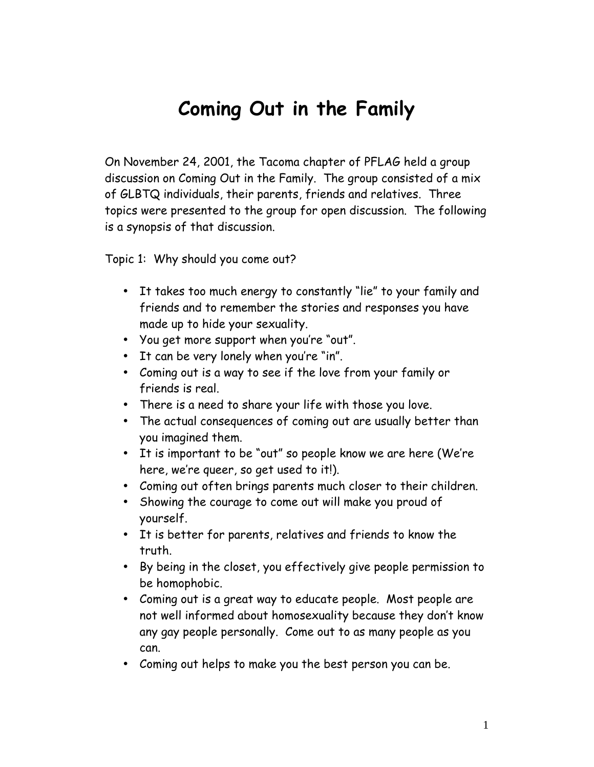## **Coming Out in the Family**

On November 24, 2001, the Tacoma chapter of PFLAG held a group discussion on Coming Out in the Family. The group consisted of a mix of GLBTQ individuals, their parents, friends and relatives. Three topics were presented to the group for open discussion. The following is a synopsis of that discussion.

Topic 1: Why should you come out?

- It takes too much energy to constantly "lie" to your family and friends and to remember the stories and responses you have made up to hide your sexuality.
- $\bullet$  You get more support when you're "out".
- $\bullet$  It can be very lonely when you're "in".
- Coming out is a way to see if the love from your family or friends is real.
- There is a need to share your life with those you love.
- The actual consequences of coming out are usually better than you imagined them.
- It is important to be "out" so people know we are here (We're here, weíre queer, so get used to it!).
- Coming out often brings parents much closer to their children.
- Showing the courage to come out will make you proud of yourself.
- It is better for parents, relatives and friends to know the truth.
- By being in the closet, you effectively give people permission to be homophobic.
- Coming out is a great way to educate people. Most people are not well informed about homosexuality because they donít know any gay people personally. Come out to as many people as you can.
- Coming out helps to make you the best person you can be.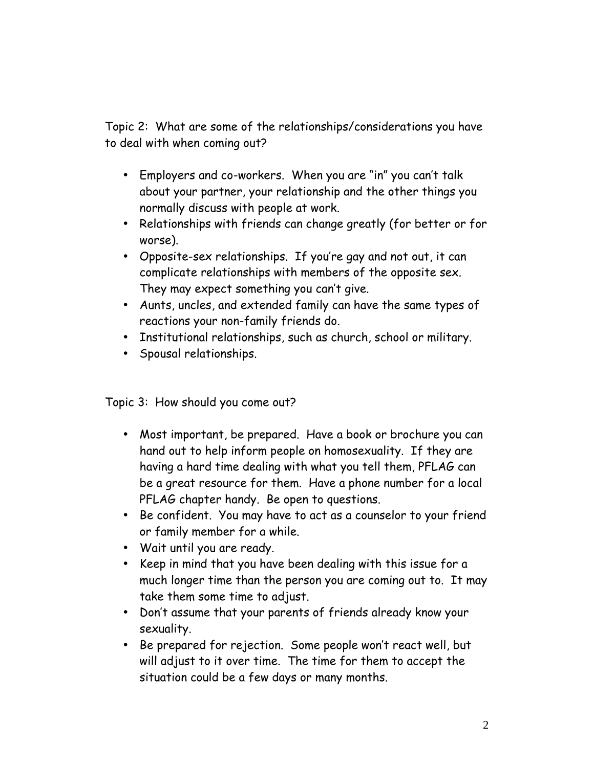Topic 2: What are some of the relationships/considerations you have to deal with when coming out?

- Employers and co-workers. When you are "in" you can't talk about your partner, your relationship and the other things you normally discuss with people at work.
- Relationships with friends can change greatly (for better or for worse).
- Opposite-sex relationships. If youíre gay and not out, it can complicate relationships with members of the opposite sex. They may expect something you canít give.
- Aunts, uncles, and extended family can have the same types of reactions your non-family friends do.
- Institutional relationships, such as church, school or military.
- Spousal relationships.

Topic 3: How should you come out?

- Most important, be prepared. Have a book or brochure you can hand out to help inform people on homosexuality. If they are having a hard time dealing with what you tell them, PFLAG can be a great resource for them. Have a phone number for a local PFLAG chapter handy. Be open to questions.
- Be confident. You may have to act as a counselor to your friend or family member for a while.
- Wait until you are ready.
- Keep in mind that you have been dealing with this issue for a much longer time than the person you are coming out to. It may take them some time to adjust.
- Donít assume that your parents of friends already know your sexuality.
- Be prepared for rejection. Some people wonít react well, but will adjust to it over time. The time for them to accept the situation could be a few days or many months.